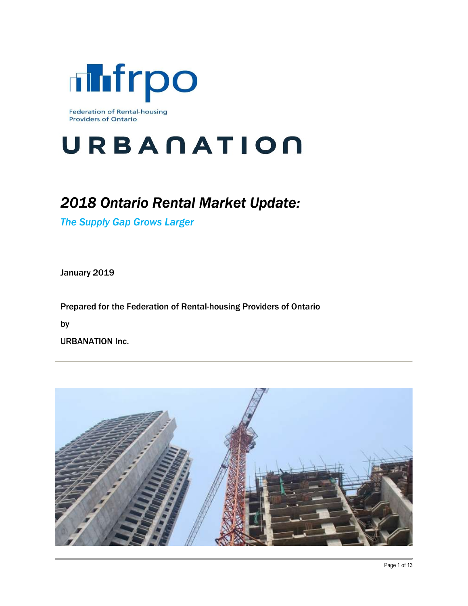

# URBANATION

# 2018 Ontario Rental Market Update:

The Supply Gap Grows Larger

January 2019

Prepared for the Federation of Rental-housing Providers of Ontario

by

URBANATION Inc.

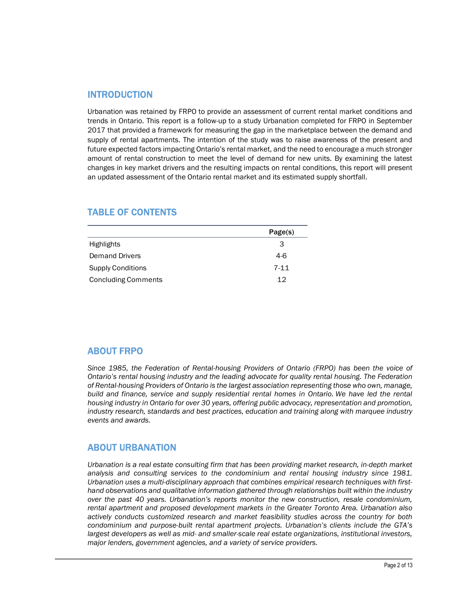#### INTRODUCTION

Urbanation was retained by FRPO to provide an assessment of current rental market conditions and trends in Ontario. This report is a follow-up to a study Urbanation completed for FRPO in September 2017 that provided a framework for measuring the gap in the marketplace between the demand and supply of rental apartments. The intention of the study was to raise awareness of the present and future expected factors impacting Ontario's rental market, and the need to encourage a much stronger amount of rental construction to meet the level of demand for new units. By examining the latest changes in key market drivers and the resulting impacts on rental conditions, this report will present an updated assessment of the Ontario rental market and its estimated supply shortfall. **INTRODUCTION**<br>
Unanation was relatined by FRPO to provide an assessment of current rental market conditions and<br>
prends in Ontario. This report is a follow-up to a study Urbanation completed for FRPO in September<br>
2017 th **INTRODUCTION**<br>
Urbanation was retained by FRPO to provide an assessment of current rental market conditions and<br>
rends in Ontario. This report is a follow-up to a study Urbanation completed for FRPO in September<br>
2017 tha **INTRODUCTION**<br>
Urbanation was retained by FRP0 to provide an assessment of current rental market conditions and<br>
such contains. This resport is a follow-up to a study Urbanation completed for FRP0 in September<br>
rends in O **INTRODUCTION**<br>
Urbanation was retained by FRPO to provide an assessment of current rental market conditions and<br>
predision Ontario. This report is a follow-up to a study Urbanation completed for FRPO in September<br>
contrap

#### TABLE OF CONTENTS

|                            | Page(s)  |
|----------------------------|----------|
| Highlights                 | 3        |
| <b>Demand Drivers</b>      | $4-6$    |
| <b>Supply Conditions</b>   | $7 - 11$ |
| <b>Concluding Comments</b> | 12       |

## ABOUT FRPO

Since 1985, the Federation of Rental-housing Providers of Ontario (FRPO) has been the voice of Ontario's rental housing industry and the leading advocate for quality rental housing. The Federation of Rental-housing Providers of Ontario is the largest association representing those who own, manage, build and finance, service and supply residential rental homes in Ontario. We have led the rental housing industry in Ontario for over 30 years, offering public advocacy, representation and promotion, industry research, standards and best practices, education and training along with marquee industry events and awards.

#### ABOUT URBANATION

Urbanation is a real estate consulting firm that has been providing market research, in-depth market analysis and consulting services to the condominium and rental housing industry since 1981. Urbanation uses a multi-disciplinary approach that combines empirical research techniques with firsthand observations and qualitative information gathered through relationships built within the industry over the past 40 years. Urbanation's reports monitor the new construction, resale condominium, rental apartment and proposed development markets in the Greater Toronto Area. Urbanation also actively conducts customized research and market feasibility studies across the country for both condominium and purpose-built rental apartment projects. Urbanation's clients include the GTA's largest developers as well as mid- and smaller-scale real estate organizations, institutional investors, major lenders, government agencies, and a variety of service providers.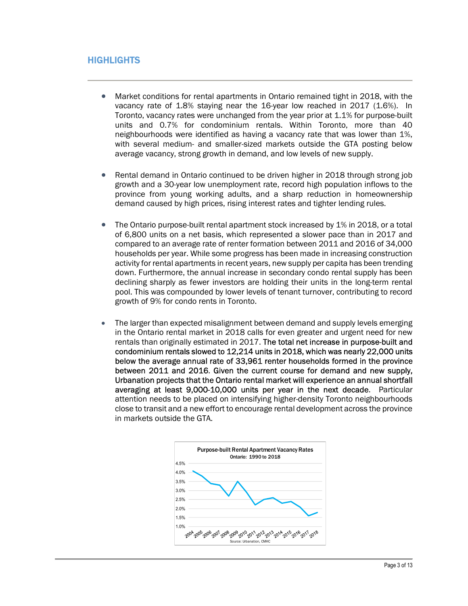# **HIGHLIGHTS**

- Market conditions for rental apartments in Ontario remained tight in 2018, with the vacancy rate of 1.8% staying near the 16-year low reached in 2017 (1.6%). In Toronto, vacancy rates were unchanged from the year prior at 1.1% for purpose-built units and 0.7% for condominium rentals. Within Toronto, more than 40 neighbourhoods were identified as having a vacancy rate that was lower than 1%, with several medium- and smaller-sized markets outside the GTA posting below average vacancy, strong growth in demand, and low levels of new supply.
- Rental demand in Ontario continued to be driven higher in 2018 through strong job growth and a 30-year low unemployment rate, record high population inflows to the province from young working adults, and a sharp reduction in homeownership demand caused by high prices, rising interest rates and tighter lending rules.
- The Ontario purpose-built rental apartment stock increased by 1% in 2018, or a total of 6,800 units on a net basis, which represented a slower pace than in 2017 and compared to an average rate of renter formation between 2011 and 2016 of 34,000 households per year. While some progress has been made in increasing construction activity for rental apartments in recent years, new supply per capita has been trending down. Furthermore, the annual increase in secondary condo rental supply has been declining sharply as fewer investors are holding their units in the long-term rental pool. This was compounded by lower levels of tenant turnover, contributing to record growth of 9% for condo rents in Toronto.
- The larger than expected misalignment between demand and supply levels emerging in the Ontario rental market in 2018 calls for even greater and urgent need for new rentals than originally estimated in 2017. The total net increase in purpose-built and condominium rentals slowed to 12,214 units in 2018, which was nearly 22,000 units below the average annual rate of 33,961 renter households formed in the province between 2011 and 2016. Given the current course for demand and new supply, Urbanation projects that the Ontario rental market will experience an annual shortfall averaging at least 9,000-10,000 units per year in the next decade. Particular attention needs to be placed on intensifying higher-density Toronto neighbourhoods close to transit and a new effort to encourage rental development across the province in markets outside the GTA.

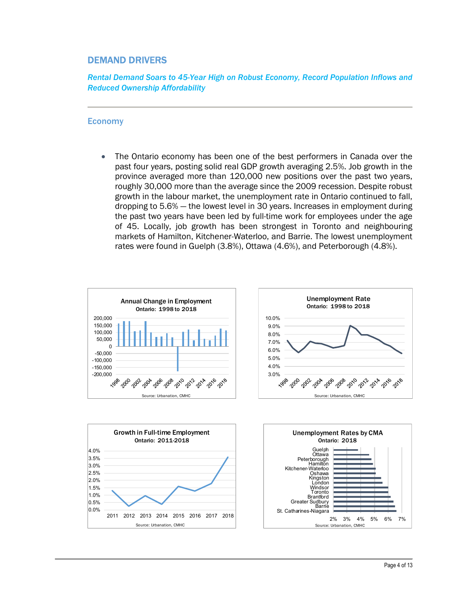### DEMAND DRIVERS

Rental Demand Soars to 45-Year High on Robust Economy, Record Population Inflows and Reduced Ownership Affordability

#### Economy

• The Ontario economy has been one of the best performers in Canada over the past four years, posting solid real GDP growth averaging 2.5%. Job growth in the province averaged more than 120,000 new positions over the past two years, roughly 30,000 more than the average since the 2009 recession. Despite robust growth in the labour market, the unemployment rate in Ontario continued to fall, dropping to 5.6% — the lowest level in 30 years. Increases in employment during the past two years have been led by full-time work for employees under the age of 45. Locally, job growth has been strongest in Toronto and neighbouring markets of Hamilton, Kitchener-Waterloo, and Barrie. The lowest unemployment rates were found in Guelph (3.8%), Ottawa (4.6%), and Peterborough (4.8%).







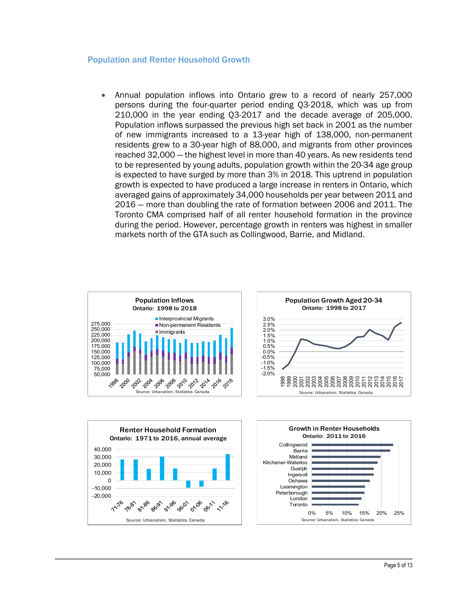#### Population and Renter Household Growth

 Annual population inflows into Ontario grew to a record of nearly 257,000 persons during the four-quarter period ending Q3-2018, which was up from 210,000 in the year ending Q3-2017 and the decade average of 205,000. Population inflows surpassed the previous high set back in 2001 as the number of new immigrants increased to a 13-year high of 138,000, non-permanent residents grew to a 30-year high of 88,000, and migrants from other provinces reached 32,000 — the highest level in more than 40 years. As new residents tend to be represented by young adults, population growth within the 20-34 age group is expected to have surged by more than 3% in 2018. This uptrend in population growth is expected to have produced a large increase in renters in Ontario, which averaged gains of approximately 34,000 households per year between 2011 and 2016 — more than doubling the rate of formation between 2006 and 2011. The Toronto CMA comprised half of all renter household formation in the province during the period. However, percentage growth in renters was highest in smaller markets north of the GTA such as Collingwood, Barrie, and Midland.







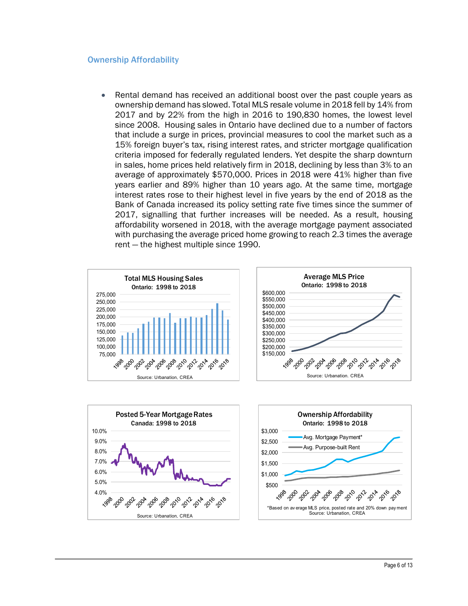#### Ownership Affordability

 Rental demand has received an additional boost over the past couple years as ownership demand has slowed. Total MLS resale volume in 2018 fell by 14% from 2017 and by 22% from the high in 2016 to 190,830 homes, the lowest level since 2008. Housing sales in Ontario have declined due to a number of factors that include a surge in prices, provincial measures to cool the market such as a 15% foreign buyer's tax, rising interest rates, and stricter mortgage qualification criteria imposed for federally regulated lenders. Yet despite the sharp downturn in sales, home prices held relatively firm in 2018, declining by less than 3% to an average of approximately \$570,000. Prices in 2018 were 41% higher than five years earlier and 89% higher than 10 years ago. At the same time, mortgage interest rates rose to their highest level in five years by the end of 2018 as the Bank of Canada increased its policy setting rate five times since the summer of 2017, signalling that further increases will be needed. As a result, housing affordability worsened in 2018, with the average mortgage payment associated with purchasing the average priced home growing to reach 2.3 times the average rent — the highest multiple since 1990.





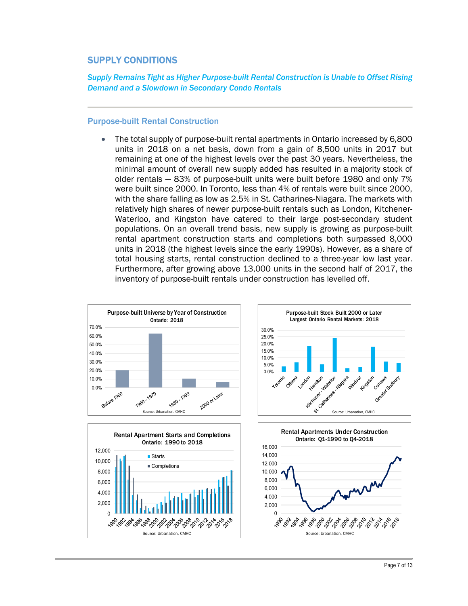# SUPPLY CONDITIONS

Supply Remains Tight as Higher Purpose-built Rental Construction is Unable to Offset Rising Demand and a Slowdown in Secondary Condo Rentals

#### Purpose-built Rental Construction

 The total supply of purpose-built rental apartments in Ontario increased by 6,800 units in 2018 on a net basis, down from a gain of 8,500 units in 2017 but remaining at one of the highest levels over the past 30 years. Nevertheless, the minimal amount of overall new supply added has resulted in a majority stock of older rentals — 83% of purpose-built units were built before 1980 and only 7% were built since 2000. In Toronto, less than 4% of rentals were built since 2000, with the share falling as low as 2.5% in St. Catharines-Niagara. The markets with relatively high shares of newer purpose-built rentals such as London, Kitchener-Waterloo, and Kingston have catered to their large post-secondary student populations. On an overall trend basis, new supply is growing as purpose-built rental apartment construction starts and completions both surpassed 8,000 units in 2018 (the highest levels since the early 1990s). However, as a share of total housing starts, rental construction declined to a three-year low last year. Furthermore, after growing above 13,000 units in the second half of 2017, the inventory of purpose-built rentals under construction has levelled off.







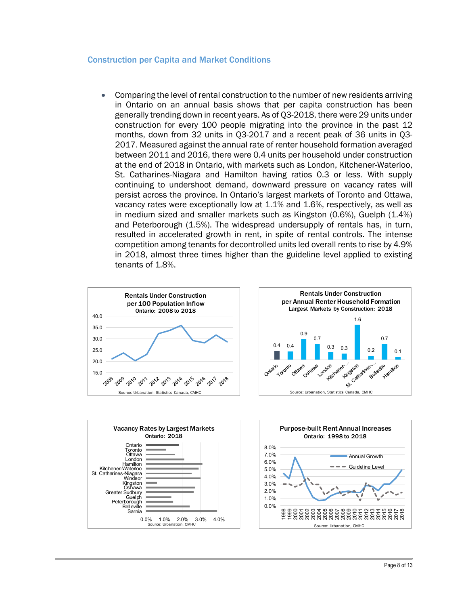#### Construction per Capita and Market Conditions

 Comparing the level of rental construction to the number of new residents arriving in Ontario on an annual basis shows that per capita construction has been generally trending down in recent years. As of Q3-2018, there were 29 units under construction for every 100 people migrating into the province in the past 12 months, down from 32 units in Q3-2017 and a recent peak of 36 units in Q3- 2017. Measured against the annual rate of renter household formation averaged between 2011 and 2016, there were 0.4 units per household under construction at the end of 2018 in Ontario, with markets such as London, Kitchener-Waterloo, St. Catharines-Niagara and Hamilton having ratios 0.3 or less. With supply continuing to undershoot demand, downward pressure on vacancy rates will persist across the province. In Ontario's largest markets of Toronto and Ottawa, vacancy rates were exceptionally low at 1.1% and 1.6%, respectively, as well as in medium sized and smaller markets such as Kingston (0.6%), Guelph (1.4%) and Peterborough (1.5%). The widespread undersupply of rentals has, in turn, resulted in accelerated growth in rent, in spite of rental controls. The intense competition among tenants for decontrolled units led overall rents to rise by 4.9% in 2018, almost three times higher than the guideline level applied to existing tenants of 1.8%.







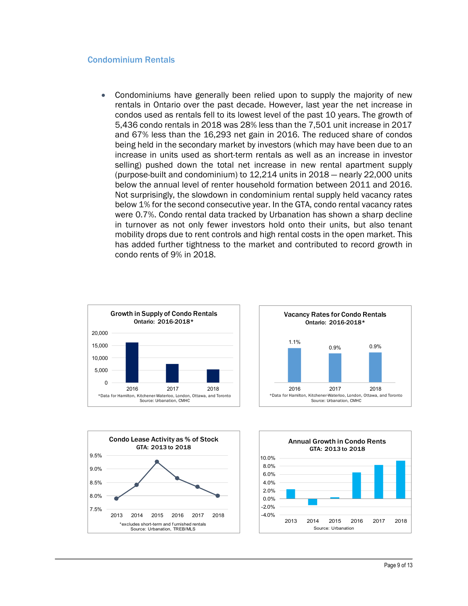#### Condominium Rentals

 Condominiums have generally been relied upon to supply the majority of new rentals in Ontario over the past decade. However, last year the net increase in condos used as rentals fell to its lowest level of the past 10 years. The growth of 5,436 condo rentals in 2018 was 28% less than the 7,501 unit increase in 2017 and 67% less than the 16,293 net gain in 2016. The reduced share of condos being held in the secondary market by investors (which may have been due to an increase in units used as short-term rentals as well as an increase in investor selling) pushed down the total net increase in new rental apartment supply (purpose-built and condominium) to 12,214 units in 2018 — nearly 22,000 units below the annual level of renter household formation between 2011 and 2016. Not surprisingly, the slowdown in condominium rental supply held vacancy rates below 1% for the second consecutive year. In the GTA, condo rental vacancy rates were 0.7%. Condo rental data tracked by Urbanation has shown a sharp decline in turnover as not only fewer investors hold onto their units, but also tenant mobility drops due to rent controls and high rental costs in the open market. This has added further tightness to the market and contributed to record growth in condo rents of 9% in 2018. Examples the student where the conditions are the CTA, conditioned and the conditional one of the SC of the SC of the SC of the SC of the SC of the SC of the SC of the SC of the SC of the SC of the SC of the SC of the SC o







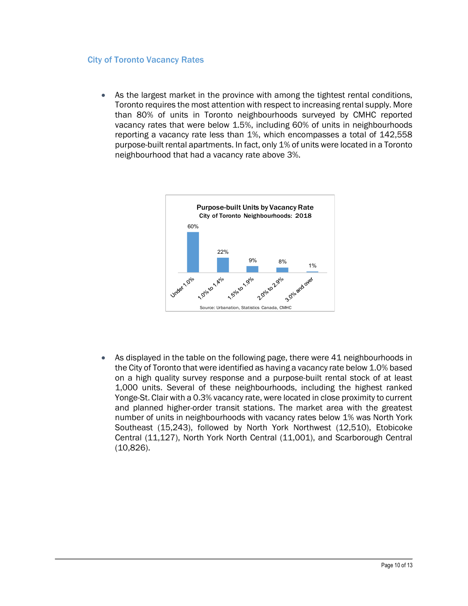#### City of Toronto Vacancy Rates

 As the largest market in the province with among the tightest rental conditions, Toronto requires the most attention with respect to increasing rental supply. More than 80% of units in Toronto neighbourhoods surveyed by CMHC reported vacancy rates that were below 1.5%, including 60% of units in neighbourhoods reporting a vacancy rate less than 1%, which encompasses a total of 142,558 purpose-built rental apartments. In fact, only 1% of units were located in a Toronto neighbourhood that had a vacancy rate above 3%.



 As displayed in the table on the following page, there were 41 neighbourhoods in the City of Toronto that were identified as having a vacancy rate below 1.0% based on a high quality survey response and a purpose-built rental stock of at least 1,000 units. Several of these neighbourhoods, including the highest ranked Yonge-St. Clair with a 0.3% vacancy rate, were located in close proximity to current and planned higher-order transit stations. The market area with the greatest number of units in neighbourhoods with vacancy rates below 1% was North York Southeast (15,243), followed by North York Northwest (12,510), Etobicoke Central (11,127), North York North Central (11,001), and Scarborough Central (10,826).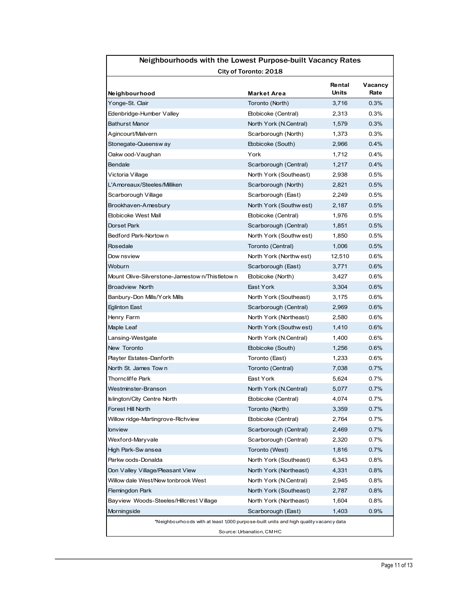|                                                                                       | Neighbourhoods with the Lowest Purpose-built Vacancy Rates |                               |                 |  |
|---------------------------------------------------------------------------------------|------------------------------------------------------------|-------------------------------|-----------------|--|
| City of Toronto: 2018                                                                 |                                                            |                               |                 |  |
| Neighbourhood                                                                         | Market Area                                                | <b>Rental</b><br><b>Units</b> | Vacancy<br>Rate |  |
| Yonge-St. Clair                                                                       | Toronto (North)                                            | 3,716                         | 0.3%            |  |
| Edenbridge-Humber Valley                                                              | Etobicoke (Central)                                        | 2,313                         | 0.3%            |  |
| <b>Bathurst Manor</b>                                                                 | North York (N.Central)                                     | 1,579                         | 0.3%            |  |
| Agincourt/Malvern                                                                     | Scarborough (North)                                        | 1,373                         | 0.3%            |  |
| Stonegate-Queensw ay                                                                  | Etobicoke (South)                                          | 2,966                         | 0.4%            |  |
| Oakw ood-Vaughan                                                                      | York                                                       | 1,712<br>1,217                | 0.4%<br>0.4%    |  |
| Bendale<br>Victoria Village                                                           | Scarborough (Central)<br>North York (Southeast)            | 2,938                         | 0.5%            |  |
| L'Amoreaux/Steeles/Milliken                                                           | Scarborough (North)                                        | 2,821                         | 0.5%            |  |
| Scarborough Village                                                                   | Scarborough (East)                                         | 2,249                         | 0.5%            |  |
| Brookhaven-Amesbury                                                                   | North York (Southwest)                                     | 2,187                         | 0.5%            |  |
| <b>Etobicoke West Mall</b>                                                            | Etobicoke (Central)                                        | 1,976                         | 0.5%            |  |
| Dorset Park                                                                           | Scarborough (Central)                                      | 1,851                         | 0.5%            |  |
| Bedford Park-Nortown                                                                  | North York (Southwest)                                     | 1,850                         | 0.5%            |  |
| Rosedale                                                                              | Toronto (Central)<br>North York (Northwest)                | 1,006                         | 0.5%            |  |
| Dow nsview<br>Woburn                                                                  | Scarborough (East)                                         | 12,510<br>3,771               | 0.6%<br>0.6%    |  |
| Mount Olive-Silverstone-Jamestow n/Thistletow n                                       | Etobicoke (North)                                          | 3,427                         | 0.6%            |  |
| <b>Broadview North</b>                                                                | East York                                                  | 3,304                         | 0.6%            |  |
| Banbury-Don Mills/York Mills                                                          | North York (Southeast)                                     | 3,175                         | 0.6%            |  |
| Eglinton East                                                                         | Scarborough (Central)                                      | 2,969                         | 0.6%            |  |
| Henry Farm                                                                            | North York (Northeast)                                     | 2,580                         | 0.6%            |  |
| Maple Leaf                                                                            | North York (Southwest)                                     | 1,410                         | 0.6%            |  |
| Lansing-Westgate                                                                      | North York (N.Central)                                     | 1,400                         | 0.6%            |  |
| New Toronto<br>Playter Estates-Danforth                                               | Etobicoke (South)<br>Toronto (East)                        | 1,256<br>1,233                | 0.6%<br>0.6%    |  |
| North St. James Town                                                                  | Toronto (Central)                                          | 7,038                         | 0.7%            |  |
| Thorncliffe Park                                                                      | East York                                                  | 5,624                         | 0.7%            |  |
| Westminster-Branson                                                                   | North York (N.Central)                                     | 5,077                         | 0.7%            |  |
| Islington/City Centre North                                                           | Etobicoke (Central)                                        | 4,074                         | 0.7%            |  |
| Forest Hill North                                                                     | Toronto (North)                                            | 3,359                         | 0.7%            |  |
| Willow ridge-Martingrove-Richview                                                     | Etobicoke (Central)                                        | 2,764                         | 0.7%            |  |
| lonview                                                                               | Scarborough (Central)                                      | 2,469                         | 0.7%            |  |
| Wexford-Maryvale                                                                      | Scarborough (Central)                                      | 2,320                         | 0.7%            |  |
| High Park-Sw ansea<br>Parkw oods-Donalda                                              | Toronto (West)<br>North York (Southeast)                   | 1,816<br>6,343                | 0.7%<br>0.8%    |  |
| Don Valley Village/Pleasant View                                                      | North York (Northeast)                                     | 4,331                         | 0.8%            |  |
| Willow dale West/New tonbrook West                                                    | North York (N.Central)                                     | 2,945                         | 0.8%            |  |
| Flemingdon Park                                                                       | North York (Southeast)                                     | 2,787                         | 0.8%            |  |
| Bayview Woods-Steeles/Hillcrest Village                                               | North York (Northeast)                                     | 1,604                         | 0.8%            |  |
| Morningside                                                                           | Scarborough (East)                                         | 1,403                         | 0.9%            |  |
| *Neighbourhoods with at least 1,000 purpose-built units and high quality vacancy data |                                                            |                               |                 |  |
|                                                                                       | Source: Urbanation, CMHC                                   |                               |                 |  |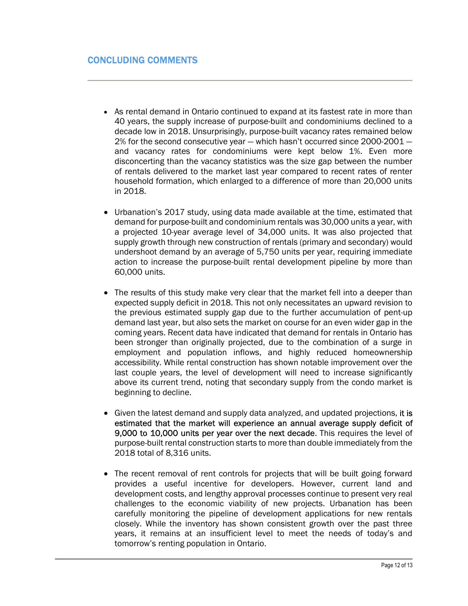- As rental demand in Ontario continued to expand at its fastest rate in more than 40 years, the supply increase of purpose-built and condominiums declined to a decade low in 2018. Unsurprisingly, purpose-built vacancy rates remained below 2% for the second consecutive year — which hasn't occurred since 2000-2001 and vacancy rates for condominiums were kept below 1%. Even more disconcerting than the vacancy statistics was the size gap between the number of rentals delivered to the market last year compared to recent rates of renter household formation, which enlarged to a difference of more than 20,000 units in 2018.
- Urbanation's 2017 study, using data made available at the time, estimated that demand for purpose-built and condominium rentals was 30,000 units a year, with a projected 10-year average level of 34,000 units. It was also projected that supply growth through new construction of rentals (primary and secondary) would undershoot demand by an average of 5,750 units per year, requiring immediate action to increase the purpose-built rental development pipeline by more than 60,000 units.
- The results of this study make very clear that the market fell into a deeper than expected supply deficit in 2018. This not only necessitates an upward revision to the previous estimated supply gap due to the further accumulation of pent-up demand last year, but also sets the market on course for an even wider gap in the coming years. Recent data have indicated that demand for rentals in Ontario has been stronger than originally projected, due to the combination of a surge in employment and population inflows, and highly reduced homeownership accessibility. While rental construction has shown notable improvement over the last couple years, the level of development will need to increase significantly above its current trend, noting that secondary supply from the condo market is beginning to decline.
- Given the latest demand and supply data analyzed, and updated projections, it is estimated that the market will experience an annual average supply deficit of 9,000 to 10,000 units per year over the next decade. This requires the level of purpose-built rental construction starts to more than double immediately from the 2018 total of 8,316 units.
- The recent removal of rent controls for projects that will be built going forward provides a useful incentive for developers. However, current land and development costs, and lengthy approval processes continue to present very real challenges to the economic viability of new projects. Urbanation has been carefully monitoring the pipeline of development applications for new rentals closely. While the inventory has shown consistent growth over the past three years, it remains at an insufficient level to meet the needs of today's and tomorrow's renting population in Ontario.